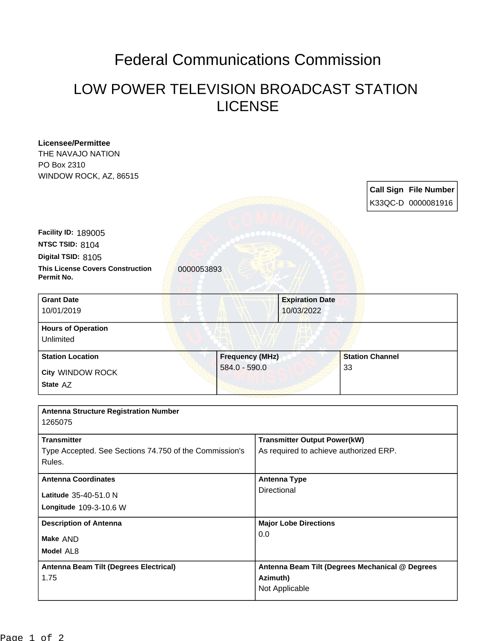## Federal Communications Commission

## LOW POWER TELEVISION BROADCAST STATION LICENSE

| <b>Licensee/Permittee</b>                                           |                        |                                     |                                                                               |    |                        |                       |           |
|---------------------------------------------------------------------|------------------------|-------------------------------------|-------------------------------------------------------------------------------|----|------------------------|-----------------------|-----------|
| THE NAVAJO NATION<br>PO Box 2310                                    |                        |                                     |                                                                               |    |                        |                       |           |
| WINDOW ROCK, AZ, 86515                                              |                        |                                     |                                                                               |    |                        |                       |           |
|                                                                     |                        |                                     |                                                                               |    |                        |                       |           |
|                                                                     |                        |                                     |                                                                               |    |                        | Call Sign File Number |           |
|                                                                     |                        |                                     |                                                                               |    |                        | K33QC-D 0000081916    |           |
|                                                                     |                        |                                     |                                                                               |    |                        |                       |           |
| Facility ID: 189005                                                 |                        |                                     |                                                                               |    |                        |                       |           |
| NTSC TSID: 8104                                                     |                        |                                     |                                                                               |    |                        |                       |           |
| Digital TSID: 8105                                                  |                        |                                     |                                                                               |    |                        |                       |           |
| <b>This License Covers Construction</b><br>0000053893<br>Permit No. |                        |                                     |                                                                               |    |                        |                       |           |
| <b>Grant Date</b>                                                   |                        |                                     | <b>Expiration Date</b>                                                        |    |                        |                       |           |
| 10/01/2019                                                          |                        |                                     | 10/03/2022                                                                    |    |                        |                       |           |
| <b>Hours of Operation</b>                                           |                        |                                     |                                                                               |    |                        |                       |           |
| Unlimited                                                           |                        |                                     |                                                                               |    |                        |                       |           |
|                                                                     |                        |                                     |                                                                               |    |                        |                       |           |
| <b>Station Location</b>                                             | <b>Frequency (MHz)</b> |                                     |                                                                               |    | <b>Station Channel</b> |                       |           |
| City WINDOW ROCK                                                    | $584.0 - 590.0$        |                                     |                                                                               | 33 |                        |                       |           |
| State AZ                                                            |                        |                                     |                                                                               |    |                        |                       |           |
|                                                                     |                        |                                     |                                                                               |    |                        |                       |           |
| <b>Antenna Structure Registration Number</b>                        |                        |                                     |                                                                               |    |                        |                       |           |
| 1265075                                                             |                        |                                     |                                                                               |    |                        |                       |           |
| <b>Transmitter</b>                                                  |                        |                                     |                                                                               |    |                        |                       |           |
| Type Accepted. See Sections 74.750 of the Commission's              |                        |                                     | <b>Transmitter Output Power(kW)</b><br>As required to achieve authorized ERP. |    |                        |                       |           |
| Rules.                                                              |                        |                                     |                                                                               |    |                        |                       |           |
|                                                                     |                        |                                     |                                                                               |    |                        |                       |           |
| <b>Antenna Coordinates</b>                                          |                        | <b>Antenna Type</b><br>Directional  |                                                                               |    |                        |                       |           |
| Latitude 35-40-51.0 N                                               |                        |                                     |                                                                               |    |                        |                       |           |
| Longitude 109-3-10.6 W                                              |                        |                                     |                                                                               |    |                        |                       |           |
| <b>Description of Antenna</b><br>Make AND                           |                        | <b>Major Lobe Directions</b><br>0.0 |                                                                               |    |                        |                       |           |
|                                                                     |                        |                                     |                                                                               |    |                        |                       | Model AL8 |
|                                                                     |                        |                                     |                                                                               |    |                        |                       |           |
| Antenna Beam Tilt (Degrees Electrical)                              |                        |                                     | Antenna Beam Tilt (Degrees Mechanical @ Degrees                               |    |                        |                       |           |
| 1.75                                                                |                        |                                     | Azimuth)<br>Not Applicable                                                    |    |                        |                       |           |
|                                                                     |                        |                                     |                                                                               |    |                        |                       |           |